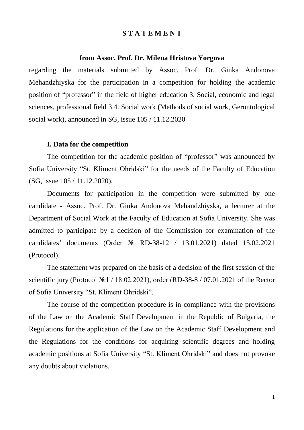### **S T A T E M E N T**

### **from Assoc. Prof. Dr. Milena Hristova Yorgova**

regarding the materials submitted by Assoc. Prof. Dr. Ginka Andonova Mehandzhiyska for the participation in a competition for holding the academic position of "professor" in the field of higher education 3. Social, economic and legal sciences, professional field 3.4. Social work (Methods of social work, Gerontological social work), announced in SG, issue 105 / 11.12.2020

### **І. Data for the competition**

The competition for the academic position of "professor" was announced by Sofia University "St. Kliment Ohridski" for the needs of the Faculty of Education (SG, issue 105 / 11.12.2020).

Documents for participation in the competition were submitted by one candidate - Assoc. Prof. Dr. Ginka Andonova Mehandzhiyska, a lecturer at the Department of Social Work at the Faculty of Education at Sofia University. She was admitted to participate by a decision of the Commission for examination of the candidates' documents (Order № RD-38-12 / 13.01.2021) dated 15.02.2021 (Protocol).

The statement was prepared on the basis of a decision of the first session of the scientific jury (Protocol №1 / 18.02.2021), order (RD-38-8 / 07.01.2021 of the Rector of Sofia University "St. Kliment Ohridski".

The course of the competition procedure is in compliance with the provisions of the Law on the Academic Staff Development in the Republic of Bulgaria, the Regulations for the application of the Law on the Academic Staff Development and the Regulations for the conditions for acquiring scientific degrees and holding academic positions at Sofia University "St. Kliment Ohridski" and does not provoke any doubts about violations.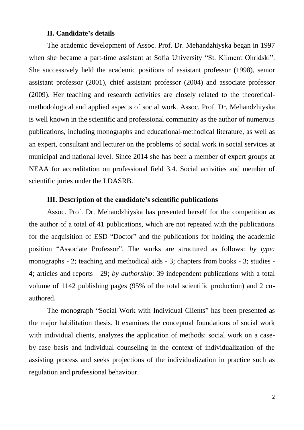### **ІІ. Candidate's details**

The academic development of Assoc. Prof. Dr. Mehandzhiyska began in 1997 when she became a part-time assistant at Sofia University "St. Kliment Ohridski". She successively held the academic positions of assistant professor (1998), senior assistant professor (2001), chief assistant professor (2004) and associate professor (2009). Her teaching and research activities are closely related to the theoreticalmethodological and applied aspects of social work. Assoc. Prof. Dr. Mehandzhiyska is well known in the scientific and professional community as the author of numerous publications, including monographs and educational-methodical literature, as well as an expert, consultant and lecturer on the problems of social work in social services at municipal and national level. Since 2014 she has been a member of expert groups at NEAA for accreditation on professional field 3.4. Social activities and member of scientific juries under the LDASRB.

### **ІІІ. Description of the candidate's scientific publications**

Assoc. Prof. Dr. Mehandzhiyska has presented herself for the competition as the author of a total of 41 publications, which are not repeated with the publications for the acquisition of ESD "Doctor" and the publications for holding the academic position "Associate Professor". The works are structured as follows: *by type:*  monographs - 2; teaching and methodical aids - 3; chapters from books - 3; studies - 4; articles and reports - 29; *by authorship*: 39 independent publications with a total volume of 1142 publishing pages (95% of the total scientific production) and 2 coauthored.

The monograph "Social Work with Individual Clients" has been presented as the major habilitation thesis. It examines the conceptual foundations of social work with individual clients, analyzes the application of methods: social work on a caseby-case basis and individual counseling in the context of individualization of the assisting process and seeks projections of the individualization in practice such as regulation and professional behaviour.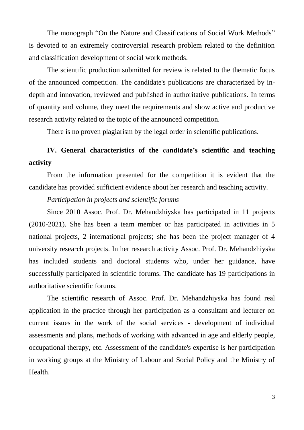The monograph "On the Nature and Classifications of Social Work Methods" is devoted to an extremely controversial research problem related to the definition and classification development of social work methods.

The scientific production submitted for review is related to the thematic focus of the announced competition. The candidate's publications are characterized by indepth and innovation, reviewed and published in authoritative publications. In terms of quantity and volume, they meet the requirements and show active and productive research activity related to the topic of the announced competition.

There is no proven plagiarism by the legal order in scientific publications.

# **ІV. General characteristics of the candidate's scientific and teaching activity**

From the information presented for the competition it is evident that the candidate has provided sufficient evidence about her research and teaching activity.

# *Participation in projects and scientific forums*

Since 2010 Assoc. Prof. Dr. Mehandzhiyska has participated in 11 projects (2010-2021). She has been a team member or has participated in activities in 5 national projects, 2 international projects; she has been the project manager of 4 university research projects. In her research activity Assoc. Prof. Dr. Mehandzhiyska has included students and doctoral students who, under her guidance, have successfully participated in scientific forums. The candidate has 19 participations in authoritative scientific forums.

The scientific research of Assoc. Prof. Dr. Mehandzhiyska has found real application in the practice through her participation as a consultant and lecturer on current issues in the work of the social services - development of individual assessments and plans, methods of working with advanced in age and elderly people, occupational therapy, etc. Assessment of the candidate's expertise is her participation in working groups at the Ministry of Labour and Social Policy and the Ministry of **Health**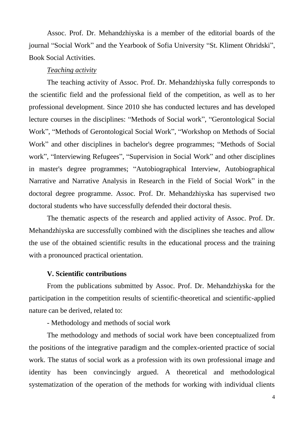Assoc. Prof. Dr. Mehandzhiyska is a member of the editorial boards of the journal "Social Work" and the Yearbook of Sofia University "St. Kliment Ohridski", Book Social Activities.

### *Teaching activity*

The teaching activity of Assoc. Prof. Dr. Mehandzhiyska fully corresponds to the scientific field and the professional field of the competition, as well as to her professional development. Since 2010 she has conducted lectures and has developed lecture courses in the disciplines: "Methods of Social work", "Gerontological Social Work", "Methods of Gerontological Social Work", "Workshop on Methods of Social Work" and other disciplines in bachelor's degree programmes; "Methods of Social work", "Interviewing Refugees", "Supervision in Social Work" and other disciplines in master's degree programmes; "Autobiographical Interview, Autobiographical Narrative and Narrative Analysis in Research in the Field of Social Work" in the doctoral degree programme. Assoc. Prof. Dr. Mehandzhiyska has supervised two doctoral students who have successfully defended their doctoral thesis.

The thematic aspects of the research and applied activity of Assoc. Prof. Dr. Mehandzhiyska are successfully combined with the disciplines she teaches and allow the use of the obtained scientific results in the educational process and the training with a pronounced practical orientation.

## **V. Scientific contributions**

From the publications submitted by Assoc. Prof. Dr. Mehandzhiyska for the participation in the competition results of scientific-theoretical and scientific-applied nature can be derived, related to:

- Methodology and methods of social work

The methodology and methods of social work have been conceptualized from the positions of the integrative paradigm and the complex-oriented practice of social work. The status of social work as a profession with its own professional image and identity has been convincingly argued. A theoretical and methodological systematization of the operation of the methods for working with individual clients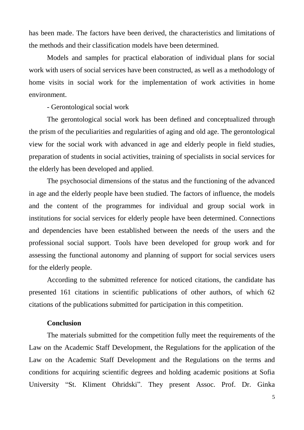has been made. The factors have been derived, the characteristics and limitations of the methods and their classification models have been determined.

Models and samples for practical elaboration of individual plans for social work with users of social services have been constructed, as well as a methodology of home visits in social work for the implementation of work activities in home environment.

- Gerontological social work

The gerontological social work has been defined and conceptualized through the prism of the peculiarities and regularities of aging and old age. The gerontological view for the social work with advanced in age and elderly people in field studies, preparation of students in social activities, training of specialists in social services for the elderly has been developed and applied.

The psychosocial dimensions of the status and the functioning of the advanced in age and the elderly people have been studied. The factors of influence, the models and the content of the programmes for individual and group social work in institutions for social services for elderly people have been determined. Connections and dependencies have been established between the needs of the users and the professional social support. Tools have been developed for group work and for assessing the functional autonomy and planning of support for social services users for the elderly people.

According to the submitted reference for noticed citations, the candidate has presented 161 citations in scientific publications of other authors, of which 62 citations of the publications submitted for participation in this competition.

## **Conclusion**

The materials submitted for the competition fully meet the requirements of the Law on the Academic Staff Development, the Regulations for the application of the Law on the Academic Staff Development and the Regulations on the terms and conditions for acquiring scientific degrees and holding academic positions at Sofia University "St. Kliment Ohridski". They present Assoc. Prof. Dr. Ginka